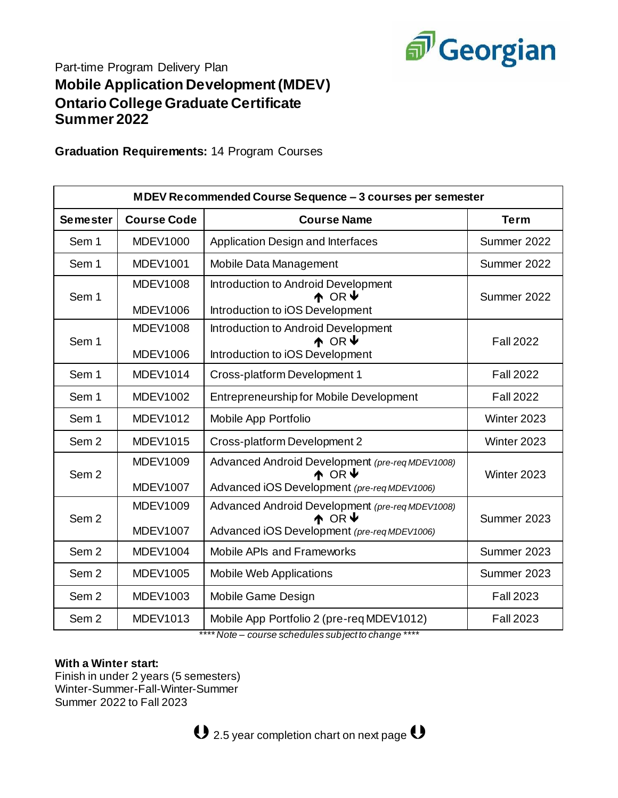

# Part-time Program Delivery Plan **Mobile Application Development (MDEV) Ontario College Graduate Certificate Summer 2022**

**Graduation Requirements:** 14 Program Courses

| MDEV Recommended Course Sequence - 3 courses per semester |                                    |                                                                                                                              |                  |  |  |
|-----------------------------------------------------------|------------------------------------|------------------------------------------------------------------------------------------------------------------------------|------------------|--|--|
| <b>Semester</b>                                           | <b>Course Code</b>                 | <b>Course Name</b>                                                                                                           | <b>Term</b>      |  |  |
| Sem 1                                                     | <b>MDEV1000</b>                    | Application Design and Interfaces                                                                                            | Summer 2022      |  |  |
| Sem 1                                                     | <b>MDEV1001</b>                    | Mobile Data Management                                                                                                       | Summer 2022      |  |  |
| Sem <sub>1</sub>                                          | <b>MDEV1008</b><br><b>MDEV1006</b> | Introduction to Android Development<br>$\uparrow$ OR $\uparrow$<br>Introduction to iOS Development                           | Summer 2022      |  |  |
| Sem 1                                                     | <b>MDEV1008</b><br><b>MDEV1006</b> | Introduction to Android Development<br>$\wedge$ OR $\vee$<br>Introduction to iOS Development                                 | <b>Fall 2022</b> |  |  |
| Sem 1                                                     | <b>MDEV1014</b>                    | Cross-platform Development 1                                                                                                 | <b>Fall 2022</b> |  |  |
| Sem 1                                                     | <b>MDEV1002</b>                    | <b>Entrepreneurship for Mobile Development</b>                                                                               | <b>Fall 2022</b> |  |  |
| Sem 1                                                     | <b>MDEV1012</b>                    | Mobile App Portfolio                                                                                                         | Winter 2023      |  |  |
| Sem <sub>2</sub>                                          | <b>MDEV1015</b>                    | Cross-platform Development 2                                                                                                 | Winter 2023      |  |  |
| Sem <sub>2</sub>                                          | <b>MDEV1009</b><br><b>MDEV1007</b> | Advanced Android Development (pre-req MDEV1008)<br>$\uparrow$ OR $\downarrow$<br>Advanced iOS Development (pre-req MDEV1006) | Winter 2023      |  |  |
| Sem <sub>2</sub>                                          | <b>MDEV1009</b><br><b>MDEV1007</b> | Advanced Android Development (pre-req MDEV1008)<br>$\wedge$ OR $\vee$<br>Advanced iOS Development (pre-req MDEV1006)         | Summer 2023      |  |  |
| Sem <sub>2</sub>                                          | <b>MDEV1004</b>                    | Mobile APIs and Frameworks                                                                                                   | Summer 2023      |  |  |
| Sem <sub>2</sub>                                          | <b>MDEV1005</b>                    | <b>Mobile Web Applications</b>                                                                                               | Summer 2023      |  |  |
| Sem <sub>2</sub>                                          | MDEV1003                           | Mobile Game Design                                                                                                           | <b>Fall 2023</b> |  |  |
| Sem <sub>2</sub>                                          | <b>MDEV1013</b>                    | Mobile App Portfolio 2 (pre-req MDEV1012)                                                                                    | <b>Fall 2023</b> |  |  |

*\*\*\*\* Note – course schedules subject to change \*\*\*\**

### **With a Winter start:**

Finish in under 2 years (5 semesters) Winter-Summer-Fall-Winter-Summer Summer 2022 to Fall 2023

 $\mathbf 0$  2.5 year completion chart on next page  $\mathbf 0$